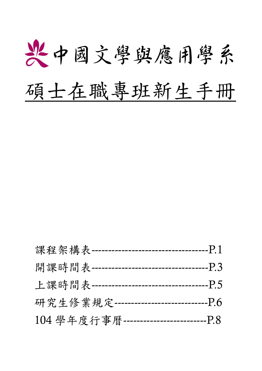

| 課程架構表 ------ | -P.1<br>-------------------------           |
|--------------|---------------------------------------------|
|              | 開課時間表 -----------------------------<br>-P.3 |
|              | 上課時間表 -----------------------------<br>-P.5 |
|              | 研究生修業規定 ----------------------<br>$-P6$     |
|              | 104學年度行事曆 ----------------------<br>--P 8   |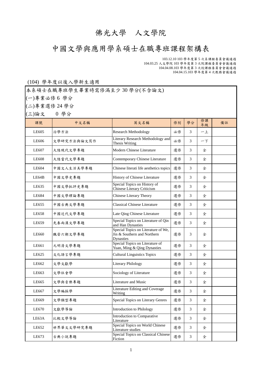# 佛光大學 人文學院

# 中國文學與應用學系碩士在職專班課程架構表

103.12.10 103 學年度第 5 次系課程委員會議通過 104.03.25 人文學院 103 學年度第 3 次院課程委員會會議通過 104.04.08.103 學年度第 3 次校課程委員會會議通過 104.04.15.103 學年度第 4 次教務會議通過

#### (104) 學年度以後入學新生適用

本系碩士在職專班學生畢業時需修滿至少 30 學分(不含論文)

(一)專業必修 6 學分

(二)專業選修 24 學分

(三)論文 0 學分

| 三)論文  | 0 学分        |                                                                                 |    |    |          |    |
|-------|-------------|---------------------------------------------------------------------------------|----|----|----------|----|
| 課號    | 中文名稱        | 英文名稱                                                                            | 修別 | 學分 | 修課<br>年級 | 備註 |
| LE605 | 治學方法        | <b>Research Methodology</b>                                                     | 必修 | 3  | 一上       |    |
| LE606 | 文學研究方法與論文寫作 | Literary Research Methodology and<br>Thesis Writing                             | 必修 | 3  | 一下       |    |
| LE607 | 大陸現代文學專題    | Modern Chinese Literature                                                       | 選修 | 3  | 全        |    |
| LE608 | 大陸當代文學專題    | Contemporary Chinese Literature                                                 | 選修 | 3  | 全        |    |
| LE604 | 中國文人生活美學專題  | Chinese literati life aesthetics topics                                         | 選修 | 3  | 全        |    |
| LE64B | 中國文學史專題     | History of Chinese Literature                                                   | 選修 | 3  | 全        |    |
| LE635 | 中國文學批評史專題   | Special Topics on History of<br>Chinese Literary Criticism                      | 選修 | 3  | 全        |    |
| LE684 | 中國文學理論專題    | Chinese Literary Theory                                                         | 選修 | 3  | 全        |    |
| LE655 | 中國古典文學專題    | <b>Classical Chinese Literature</b>                                             | 選修 | 3  | 全        |    |
| LE658 | 中國近代文學專題    | Late Qing Chinese Literature                                                    | 選修 | 3  | 全        |    |
| LE659 | 先秦兩漢文學專題    | Special Topics on Literature of Qin<br>and Han Dynasties                        | 選修 | 3  | 全        |    |
| LE660 | 魏晉六朝文學專題    | Special Topics on Literature of We,<br>Jin & Southern and Northern<br>Dynasties | 選修 | 3  | 全        |    |
| LE661 | 元明清文學專題     | Special Topics on Literature of<br>Yuan, Ming & Qing Dynasties                  | 選修 | 3  | 全        |    |
| LE625 | 文化語言學專題     | <b>Cultural Linguistics Topics</b>                                              | 選修 | 3  | 全        |    |
| LE662 | 文學文獻學       | <b>Literary Philology</b>                                                       | 選修 | 3  | 全        |    |
| LE663 | 文學社會學       | Sociology of Literature                                                         | 選修 | 3  | 全        |    |
| LE665 | 文學與音樂專題     | Literature and Music                                                            | 選修 | 3  | 全        |    |
| LE667 | 文學編採學       | Literature Editing and Coverage<br>Writing                                      | 選修 | 3  | 全        |    |
| LE669 | 文學類型專題      | Special Topics on Literary Genres                                               | 選修 | 3  | 全        |    |
| LE670 | 文獻學導論       | <b>Introduction to Philology</b>                                                | 選修 | 3  | 全        |    |
| LE63A | 比較文學導論      | Introduction to Comparative<br>Literature                                       | 選修 | 3  | 全        |    |
| LE652 | 世界華文文學研究專題  | Special Topics on World Chinese<br>Literature studies                           | 選修 | 3  | 全        |    |
| LE673 | 古典小說專題      | Special Topics on Classical Chinese<br>Fiction                                  | 選修 | 3  | 全        |    |
|       |             |                                                                                 |    |    |          |    |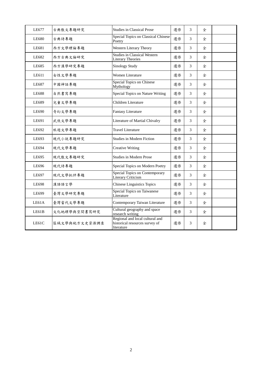| LE677 | 古典散文專題研究      | <b>Studies in Classical Prose</b>                                               | 選修 | 3 | 全 |  |
|-------|---------------|---------------------------------------------------------------------------------|----|---|---|--|
| LE680 | 古典詩專題         | Special Topics on Classical Chinese<br>Poetry                                   | 選修 | 3 | 全 |  |
| LE681 | 西方文學理論專題      | Western Literary Theory                                                         | 選修 | 3 | 全 |  |
| LE682 | 西方古典文論研究      | <b>Studies in Classical Western</b><br><b>Literary Theories</b>                 | 選修 | 3 | 全 |  |
| LE685 | 西方漢學研究專題      | <b>Sinology Study</b>                                                           | 選修 | 3 | 全 |  |
| LE611 | 女性文學專題        | Women Literature                                                                | 選修 | 3 | 全 |  |
| LE687 | 中國神話專題        | Special Topics on Chinese<br>Mythology                                          | 選修 | 3 | 全 |  |
| LE688 | 自然書寫專題        | Special Topics on Nature Writing                                                | 選修 | 3 | 全 |  |
| LE689 | 兒童文學專題        | Children Literature                                                             | 選修 | 3 | 全 |  |
| LE690 | 奇幻文學專題        | <b>Fantasy Literature</b>                                                       | 選修 | 3 | 全 |  |
| LE691 | 武俠文學專題        | Literature of Martial Chivalry                                                  | 選修 | 3 | 全 |  |
| LE692 | 旅遊文學專題        | <b>Travel Literature</b>                                                        | 選修 | 3 | 全 |  |
| LE693 | 現代小說專題研究      | <b>Studies in Modern Fiction</b>                                                | 選修 | 3 | 全 |  |
| LE694 | 現代文學專題        | <b>Creative Writing</b>                                                         | 選修 | 3 | 全 |  |
| LE695 | 現代散文專題研究      | <b>Studies in Modern Prose</b>                                                  | 選修 | 3 | 全 |  |
| LE696 | 現代詩專題         | Special Topics on Modern Poetry                                                 | 選修 | 3 | 全 |  |
| LE697 | 現代文學批評專題      | <b>Special Topics on Contemporary</b><br>Literary Criticism                     | 選修 | 3 | 全 |  |
| LE698 | 漢語語言學         | <b>Chinese Linguistics Topics</b>                                               | 選修 | 3 | 全 |  |
| LE699 | 臺灣文學研究專題      | Special Topics on Taiwanese<br>Literature                                       | 選修 | 3 | 全 |  |
| LE61A | 臺灣當代文學專題      | Contemporary Taiwan Literature                                                  | 選修 | 3 | 全 |  |
| LE61B | 文化地理學與空間書寫研究  | Cultural geography and space<br>research writing                                | 選修 | 3 | 全 |  |
| LE61C | 區域文學與地方文史資源調查 | Regional and local cultural and<br>historical resources survey of<br>literature | 選修 | 3 | 全 |  |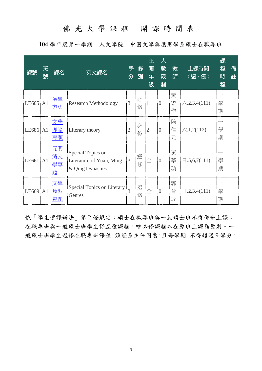# 佛光大學課程 開課時間表

104 學年度第一學期 人文學院 中國文學與應用學系碩士在職專班

| 課號       | 班<br>號 | 課名                         | 英文課名                                                              | 學<br>分         | 俢<br>別 | 主<br>開<br>年<br>級 | 人<br>數<br>限<br>制 | 教<br>師      | 上課時間<br>(週,節)            | 課<br>程<br>時<br>程 | 備<br>註 |
|----------|--------|----------------------------|-------------------------------------------------------------------|----------------|--------|------------------|------------------|-------------|--------------------------|------------------|--------|
| LE605 A1 |        | 治學<br>方法                   | <b>Research Methodology</b>                                       | 3              | 必<br>修 |                  | $\overline{0}$   | 黃<br>憲<br>作 | $\pi$ .2,3,4(111)        | 學<br>期           |        |
| LE686 A1 |        | 文學<br>理論<br>專題             | Literary theory                                                   | $\overline{2}$ | 必<br>修 | $\overline{2}$   | $\overline{0}$   | 陳<br>信<br>元 | $\overline{7}$ .1,2(112) | 學<br>期           |        |
| LE661 A1 |        | <u>元明</u><br>清文<br>學專<br>題 | Special Topics on<br>Literature of Yuan, Ming<br>& Qing Dynasties | 3              | 選<br>修 | 全                | $\overline{0}$   | 黃<br>莘<br>瑜 | $\boxminus$ .5,6,7(111)  | 學<br>期           |        |
| LE669 A1 |        | 文學<br>類型<br>專題             | Special Topics on Literary<br>Genres                              |                | 選<br>修 | 全                | $\theta$         | 郭<br>晉<br>銓 | $\boxminus$ .2,3,4(111)  | 學<br>期           |        |

依「學生選課辦法」第2條規定:碩士在職專班與一般碩士班不得併班上課; 在職專班與一般碩士班學生得互選課程,唯必修課程以在原班上課為原則。一 般碩士班學生選修在職專班課程,須經系主任同意,且每學期 不得超過 9 學分。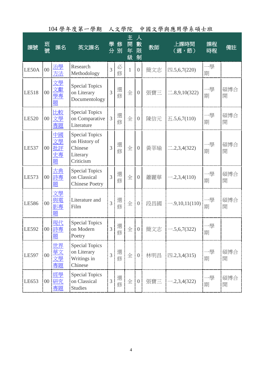|              |                 |                                  | 104 字干及弟一字期                                                                |                | 人义字阮    |                  |                  |     |                              |          |          |
|--------------|-----------------|----------------------------------|----------------------------------------------------------------------------|----------------|---------|------------------|------------------|-----|------------------------------|----------|----------|
| 課號           | 班<br>號          | 課名                               | 英文課名                                                                       | 學              | 俢<br>分別 | 主<br>開<br>年<br>級 | 人<br>數<br>限<br>制 | 教師  | 上課時間<br>(週,節)                | 課程<br>時程 | 備註       |
| LE50A        | $00\,$          | 治學<br>方法                         | Research<br>Methodology                                                    | $\overline{3}$ | 必<br>修  | 1                | $\overline{0}$   | 簡文志 | $\boxtimes .5,6,7(220)$      | 一學<br>期  |          |
| LE518        | $00\,$          | 文學<br>學專<br>題                    | <b>Special Topics</b><br>on Literary<br>Documentology                      | 3              | 選<br>修  | 全                | $\overline{0}$   | 張寶三 | $\equiv 0.8, 9, 10(322)$     | 一學<br>期  | 碩博合<br>開 |
| <b>LE520</b> | 00 <sup>1</sup> | 比較<br>文學<br>專題                   | <b>Special Topics</b><br>on Comparative<br>Literature                      | 3              | 選<br>修  | 全                | $\overline{0}$   | 陳信元 | $\overline{\pm}$ .5,6,7(110) | 一學<br>期  | 碩博合<br>開 |
| LE537        | $00\,$          | 中國<br>文學<br>批評<br><u>史專</u><br>題 | <b>Special Topics</b><br>on History of<br>Chinese<br>Literary<br>Criticism | 3              | 選<br>修  | 全                | $\overline{0}$   | 黃莘瑜 | $\equiv$ .2,3,4(322)         | -學<br>期  | 碩博合<br>開 |
| LE573        | $00\,$          | 古典<br>詩專<br>題                    | <b>Special Topics</b><br>on Classical<br><b>Chinese Poetry</b>             | 3              | 選<br>修  | 全                | $\overline{0}$   | 蕭麗華 | $-.2,3,4(110)$               | 一學<br>期  | 碩博合<br>開 |
| LE586        | $00\,$          | 文學<br>與電<br>影專<br>題              | Literature and<br>Film                                                     | $\overline{3}$ | 選<br>修  | 全                | $\overline{0}$   | 段昌國 | $-.9,10,11(110)$             | -學<br>期  | 碩博合<br>開 |
| LE592        |                 | 現代<br>00 詩專<br>題                 | <b>Special Topics</b><br>on Modern<br>Poetry                               | 3              | 選<br>修  | 全                | $\overline{0}$   | 簡文志 | $-.5,6,7(322)$               | 一學<br>期  |          |
| LE597        | $00\,$          | 世界<br>華文<br>文學<br>專題             | <b>Special Topics</b><br>on Literary<br>Writings in<br>Chinese             | $\overline{3}$ | 選修      | 全                | $\overline{0}$   | 林明昌 | $\text{m.2,3,4}(315)$        | -學<br>期  | 碩博合<br>開 |
| LE653        |                 | 經學<br>00 研究<br>專題                | <b>Special Topics</b><br>on Classical<br><b>Studies</b>                    | 3              | 選修      | 全                | $\overline{0}$   | 張寶三 | $-.2,3,4(322)$               | 一學<br>期  | 碩博合<br>開 |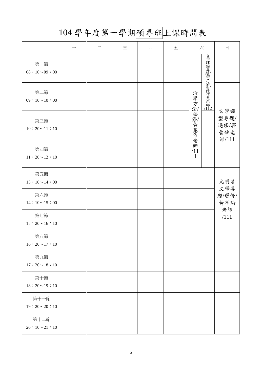# 104 學年度第一學期碩專班上課時間表

|                             |  | $\equiv$ | 四 | 五 | 六             |                   | 日                          |
|-----------------------------|--|----------|---|---|---------------|-------------------|----------------------------|
| 第一節<br>$08:10\!\sim\!09:00$ |  |          |   |   |               |                   |                            |
| 第二節<br>$09:10 \sim 10:00$   |  |          |   |   |               | 文學理論專題研二必修陳信元老師11 |                            |
| 第三節<br>$10:20 \sim 11:10$   |  |          |   |   | 治學方法必修黃憲作老師/1 |                   | 文學類<br>型專題/<br>選修/郭<br>晉銓老 |
| 第四節<br>$11:20 \sim 12:10$   |  |          |   |   | $\mathbf{1}$  |                   | 師/111                      |
| 第五節<br>$13:10 \sim 14:00$   |  |          |   |   |               |                   | 元明清                        |
| 第六節<br>$14:10 \sim 15:00$   |  |          |   |   |               |                   | 文學專<br>題/選修/<br>黄莘瑜        |
| 第七節<br>$15:20 \sim 16:10$   |  |          |   |   |               |                   | 老師<br>/111                 |
| 第八節<br>$16:20 \sim 17:10$   |  |          |   |   |               |                   |                            |
| 第九節<br>$17:20 \sim 18:10$   |  |          |   |   |               |                   |                            |
| 第十節<br>$18:20 \sim 19:10$   |  |          |   |   |               |                   |                            |
| 第十一節<br>$19:20 \sim 20:10$  |  |          |   |   |               |                   |                            |
| 第十二節<br>$20:10 \sim 21:10$  |  |          |   |   |               |                   |                            |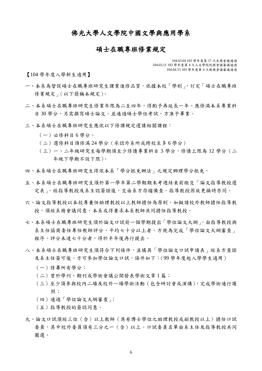#### 佛光大學人文學院中國文學與應用學系

#### 碩士在職專班修業規定

104.03.04 103 學年度第 17 次系務會議通過 104.03.11 103 學年度第 4 次人文學院院務會議審議通過 104.04.15 103 學年度第 4 次教務會議審議通過

【104 學年度入學新生適用】

- 一、本系為督促碩士在職專班研究生課業進修品質,依據本校「學則」,訂定「碩士在職專班 修業規定」(以下簡稱本規定)。
- 二、本系碩士在職專班研究生修業年限為二至四年,得酌予再延長一年。應修滿本系專業科 目 30 學分,另需撰寫碩士論文,並通過碩士學位考試,方准予畢業。
- 三、本系碩士在職專班研究生應依以下修課規定選讀相關課程:
	- (一)必修科目 6 學分。
	- (二)選修科目須修滿 24 學分(承認外系所或跨校至多 6 學分)
	- (三)一、二年級研究生每學期須至少修讀專業科目 3 學分,修讀上限為 12 學分(二 年級下學期不設下限)。
- 四、本系碩士在職專班研究生得依本系「學分抵免辦法」之規定辦理學分抵免。
- 五、本系碩士在職專班研究生須於第一學年第二學期期末考週結束前繳交「論文指導教授選 定表」,經指導教授及系主認簽證後,交由系方存檔備查。指導教授因故更換時亦同。
- 六、論文指導教授以本校專兼任助理教授以上教師擔任為原則。如擬請校外教師擔任指導教 授,須經系務會議同意,本系或得要求本系教師共同擔任指導教授。
- 七、本系碩士在職專班研究生須於論文口試前一個學期提出「學位論文大綱」,由指導教授與 系主任協商委任專任教師評分,平均七十分以上者,方視為完成「學位論文大綱審查」 程序。評分未達七十分者,得於半年後再行提出。
- 八、本系碩士在職專班研究生須符合下列條件,並填具「學位論文口試申請表」經系方查證 及系主任簽可後,方可參加學位論文口試,條件如下:(99 學年度起入學學生適用)
	- (一)修畢所有學分;
	- (二)曾於學刊、期刊或學術會議公開發表學術文章 1 篇;
	- (三)至少須參與校內二場及校外一場學術活動(包含研討會或演講),完成學術通行護 照;
	- (四)通過「學位論文大綱審查」;
	- (五)指導教授的簽認同意。
- 九、論文口試須經三位(含)以上教師(具有博士學位之助理教授或副教授以上)擔任口試 委員,其中校外委員須有三分之一(含)以上。口試委員名單由系主任及指導教授共同 圈選。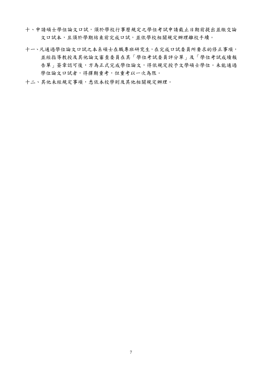- 十、申請碩士學位論文口試,須於學校行事曆規定之學位考試申請截止日期前提出並繳交論 文口試本,且須於學期結束前完成口試,並依學校相關規定辦理離校手續。
- 十一、凡通過學位論文口試之本系碩士在職專班研究生,在完成口試委員所要求的修正事項, 並經指導教授及其他論文審查委員在其[「學位考試委員評分單」](http://academic.fgu.edu.tw/files/archive/56_ea8b9fc2.doc)及「學位考試成績報 告單」簽章認可後,方為正式完成學位論文,得依規定授予文學碩士學位。未能通過 學位論文口試者,得擇期重考,但重考以一次為限。
- 十二、其他未經規定事項,悉依本校學則及其他相關規定辦理。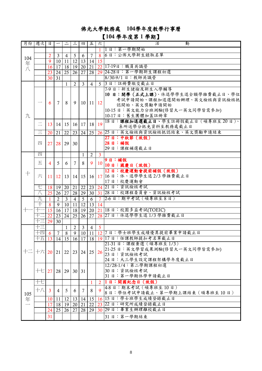# 佛光大學教務處 **104**學年度教學行事曆

# 【**104** 學年度第 **1** 學期】

| 月份 週次    |                                                                 | 日                       | $\overline{\phantom{m}}$ | $\equiv$       | $\vert$ ii                | 四              | 五                    | 六              | 活<br>動                                                                           |
|----------|-----------------------------------------------------------------|-------------------------|--------------------------|----------------|---------------------------|----------------|----------------------|----------------|----------------------------------------------------------------------------------|
|          |                                                                 |                         |                          |                |                           |                |                      |                | 1 1日:第一學期開始                                                                      |
|          |                                                                 | $\overline{2}$          | $\mathbf{3}$             | $\overline{4}$ | $5\phantom{.0}$           | 6              | $\overline{7}$       |                | 8 6日:公佈大學新生錄取名單                                                                  |
| 104<br>年 |                                                                 | $\overline{9}$          | 10                       | 11             | $\boxed{12}$ $\boxed{13}$ |                | 14                   | 15             |                                                                                  |
| 八        |                                                                 |                         | 16 17                    | 18 19          |                           | 20             | 21                   |                | 22 17-19日:職員共識營                                                                  |
|          |                                                                 | 23                      | 24                       | 25             | 26                        | 27             | 28                   |                | 29 24-28日:第一學期新生課程初選                                                             |
|          |                                                                 | 30 <sup>1</sup>         | 31                       |                |                           |                |                      |                | 8/30-9/1 日:教師共識營                                                                 |
|          |                                                                 |                         |                          | $\mathbf{1}$   | 2                         | $\mathbf{3}$   | $\overline{4}$       |                | 5 3 日:註冊費繳交截止日                                                                   |
|          |                                                                 |                         |                          |                |                           |                |                      |                | 7-9日:新生健檢及新生入學輔導                                                                 |
|          |                                                                 | 6                       |                          |                |                           |                |                      |                | 10日:開學 (正式上課)、休退學學生退全額學雜費截止日、學位                                                  |
|          |                                                                 |                         | 7                        | 8              | 9                         |                | $10 \mid 11 \mid 12$ |                | 考試申請開始、課程加退選開始辦理、英文檢核與資訊檢核抵<br>認開始、英文獎勵申請開始                                      |
|          |                                                                 |                         |                          |                |                           |                |                      |                | 10-15日:英文能力分班測驗(修習大一英文同學皆需參加)                                                    |
| 九        |                                                                 |                         |                          |                |                           |                |                      |                | 10-17日:舊生團體加蓋註冊章                                                                 |
|          |                                                                 |                         |                          |                |                           |                |                      |                | 18日:課程加退選截止日、學生註冊假截止日 (碩專班至20日)、                                                 |
|          | $\equiv$                                                        | 13                      | 14                       |                | $15 \mid 16 \mid 17$      |                | 18 19                |                | 系所送學分抵免資料至教務處截止日                                                                 |
|          | $\equiv$                                                        | 20                      | 21                       | 22             | 23                        | 24             | $\overline{25}$      |                | 26 25 日: 英文檢核與資訊檢核抵認結束、英文獎勵申請結束                                                  |
|          |                                                                 |                         |                          |                |                           |                |                      |                | 27日:中秋節 (放假)                                                                     |
|          | 四                                                               | 27 <sup>1</sup>         | 28                       | 29             | 30                        |                |                      |                | 28日:補假                                                                           |
|          |                                                                 |                         |                          |                |                           |                |                      |                | 29日:課程補選截止日                                                                      |
|          | 四                                                               |                         |                          |                |                           | $\mathbf{1}$   | $\overline{2}$       | $\mathbf{3}$   |                                                                                  |
|          | 五                                                               | 4                       | 5                        | 6              | $7\phantom{.0}$           | 8              | 9                    |                | $10$ 9 日:補假                                                                      |
|          |                                                                 |                         |                          |                |                           |                |                      |                | 10日:國慶日 (放假)                                                                     |
| $+$      | 六                                                               |                         |                          |                |                           |                |                      |                | 12日:校慶運動會提前補假(放假)                                                                |
|          |                                                                 | 11                      | <b>12</b>                |                | $13 \mid 14 \mid$         | 15             |                      |                | 16 17 16 日:休、退學學生退 2/3 學雜費截止日<br>17日:校慶運動會                                       |
|          | セ                                                               | 18                      | 19                       | 20             | 21                        | 22             |                      |                | 23 24 21 日:資訊檢核考試                                                                |
|          | 八                                                               | 25                      | 26                       | 27             | 28                        | 29             | 30                   |                | 31 28 日: 校課程委員會、資訊檢核考試                                                           |
|          | 九                                                               | $\overline{1}$          | 2                        | $\overline{3}$ | $\overline{4}$            | $\overline{5}$ | 6                    |                | 7 2-6日:期中考試 (碩專班至8日)                                                             |
|          | $\overline{+}$                                                  | $\overline{8}$          | 9                        | 10             | 11                        | 12             | 13                   | 14             |                                                                                  |
| $+ -$    | '†−                                                             | 15                      | 16                       | 17             | 18 <sup> </sup>           | 19             | 20                   |                | 21 18 日: 校園多益考試(TOEIC)                                                           |
|          | 王                                                               | 22                      | 23                       | 24             | 25                        | 26             | 27                   |                | 28 27 日:休退學學生退 1/3 學雜費截止日                                                        |
|          | 干三                                                              | 29                      | $\overline{30}$          |                |                           |                |                      |                |                                                                                  |
|          | 十三                                                              |                         |                          | $\mathbf{1}$   | $\overline{2}$            | $\mathfrak{Z}$ | $\overline{4}$       | $\overline{5}$ |                                                                                  |
|          | 干四 6                                                            |                         | $\overline{7}$           | $\overline{8}$ | $\overline{9}$            | 10             | 11                   |                | 127日:學士班學生成績優異提前畢業申請截止日                                                          |
|          |                                                                 |                         |                          |                |                           |                |                      |                | 十五 13 14 15 16 17 18 19 17 日:任課教師提扣考名單截止日                                        |
|          |                                                                 |                         |                          |                |                           |                |                      |                | 21-31 日:課程棄選 (碩專班至1/3)                                                           |
| 十二       | $ \!+\!\dot{\wedge} $ 20 $ $ 21 $ $ 22 $ $ 23 $ $ 24 $ $ 25 $ $ |                         |                          |                |                           |                |                      |                | 21-25 日: 英文學習成果測驗(修習大一英文同學皆需參加)                                                  |
|          |                                                                 |                         |                          |                |                           |                |                      |                | $26\left  \begin{array}{cc} 2.22 & 0.22 \\ 2.3 & 0.1 \end{array} \right.$ 音訊檢核考試 |
|          |                                                                 |                         |                          |                |                           |                |                      |                | 24日:大三學生設定課程架構學年度截止日                                                             |
|          |                                                                 |                         |                          |                |                           |                |                      |                | 12/28-1/4: 第二學期課程初選                                                              |
|          | $+$ $-$ 27                                                      |                         | 28                       | 29             | $30 \mid 31$              |                |                      |                | 30日:資訊檢核考試<br>31日:第一學期休學申請截止日                                                    |
|          | 干七                                                              |                         |                          |                |                           |                |                      |                | 21日:開國紀念日 (放假)                                                                   |
|          |                                                                 |                         |                          |                |                           |                | $\mathbf{1}$         |                | 4-8日:期末考試(碩專班至10日)                                                               |
|          | 十八                                                              | $\overline{\mathbf{3}}$ | 4                        | 5              | 6                         | 7              | 8                    | 9              | 8日:學位考試申請截止、第一學期上課結束(碩專班至10日)                                                    |
| 105<br>年 |                                                                 | 10 <sup>1</sup>         | 11                       | 12             | 13                        | 14             | 15                   |                | 16 15 日:學士班學生成績登錄截止日                                                             |
|          |                                                                 | 17                      | 18                       | 19             | 20 <sup>1</sup>           | 21             | 22                   |                | 23 22 日:研究所成績登錄截止日                                                               |
|          |                                                                 | 24                      | 25                       | 26             | 27                        | 28             | 29                   |                | 30 29 日: 畢業生辦理離校截止日                                                              |
|          |                                                                 | 31                      |                          |                |                           |                |                      |                | 31日:第一學期結束                                                                       |
|          |                                                                 |                         |                          |                |                           |                |                      |                |                                                                                  |